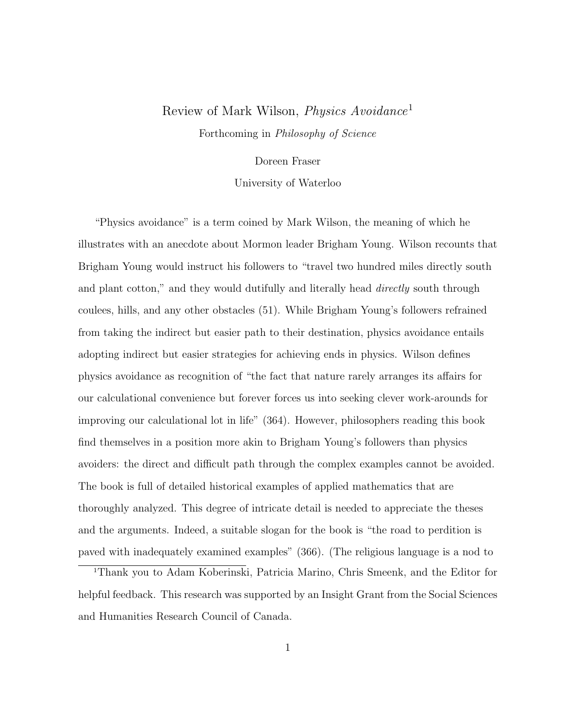## Review of Mark Wilson, Physics Avoidance<sup>1</sup>

Forthcoming in Philosophy of Science

Doreen Fraser

University of Waterloo

"Physics avoidance" is a term coined by Mark Wilson, the meaning of which he illustrates with an anecdote about Mormon leader Brigham Young. Wilson recounts that Brigham Young would instruct his followers to "travel two hundred miles directly south and plant cotton," and they would dutifully and literally head *directly* south through coulees, hills, and any other obstacles (51). While Brigham Young's followers refrained from taking the indirect but easier path to their destination, physics avoidance entails adopting indirect but easier strategies for achieving ends in physics. Wilson defines physics avoidance as recognition of "the fact that nature rarely arranges its affairs for our calculational convenience but forever forces us into seeking clever work-arounds for improving our calculational lot in life" (364). However, philosophers reading this book find themselves in a position more akin to Brigham Young's followers than physics avoiders: the direct and difficult path through the complex examples cannot be avoided. The book is full of detailed historical examples of applied mathematics that are thoroughly analyzed. This degree of intricate detail is needed to appreciate the theses and the arguments. Indeed, a suitable slogan for the book is "the road to perdition is paved with inadequately examined examples" (366). (The religious language is a nod to

<sup>1</sup>Thank you to Adam Koberinski, Patricia Marino, Chris Smeenk, and the Editor for helpful feedback. This research was supported by an Insight Grant from the Social Sciences and Humanities Research Council of Canada.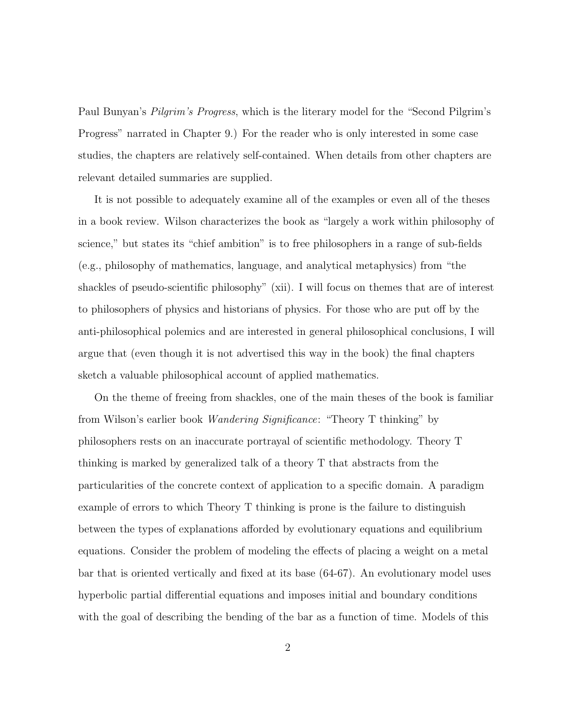Paul Bunyan's *Pilgrim's Progress*, which is the literary model for the "Second Pilgrim's Progress" narrated in Chapter 9.) For the reader who is only interested in some case studies, the chapters are relatively self-contained. When details from other chapters are relevant detailed summaries are supplied.

It is not possible to adequately examine all of the examples or even all of the theses in a book review. Wilson characterizes the book as "largely a work within philosophy of science," but states its "chief ambition" is to free philosophers in a range of sub-fields (e.g., philosophy of mathematics, language, and analytical metaphysics) from "the shackles of pseudo-scientific philosophy" (xii). I will focus on themes that are of interest to philosophers of physics and historians of physics. For those who are put off by the anti-philosophical polemics and are interested in general philosophical conclusions, I will argue that (even though it is not advertised this way in the book) the final chapters sketch a valuable philosophical account of applied mathematics.

On the theme of freeing from shackles, one of the main theses of the book is familiar from Wilson's earlier book Wandering Significance: "Theory T thinking" by philosophers rests on an inaccurate portrayal of scientific methodology. Theory T thinking is marked by generalized talk of a theory T that abstracts from the particularities of the concrete context of application to a specific domain. A paradigm example of errors to which Theory T thinking is prone is the failure to distinguish between the types of explanations afforded by evolutionary equations and equilibrium equations. Consider the problem of modeling the effects of placing a weight on a metal bar that is oriented vertically and fixed at its base (64-67). An evolutionary model uses hyperbolic partial differential equations and imposes initial and boundary conditions with the goal of describing the bending of the bar as a function of time. Models of this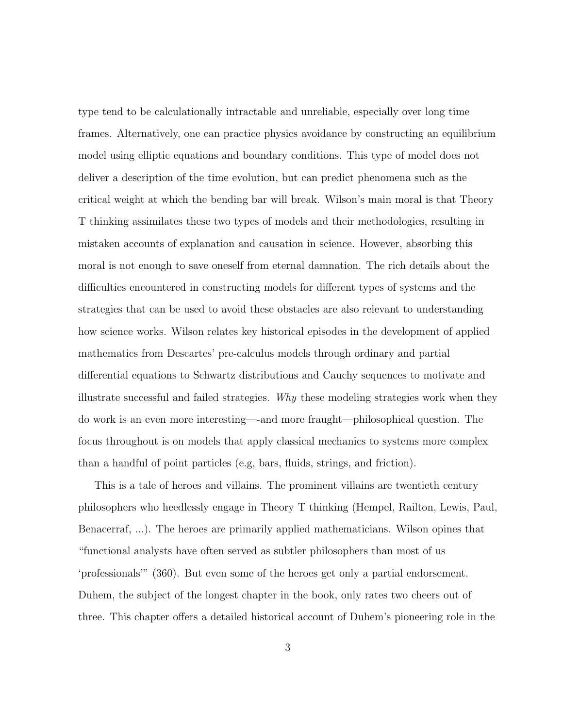type tend to be calculationally intractable and unreliable, especially over long time frames. Alternatively, one can practice physics avoidance by constructing an equilibrium model using elliptic equations and boundary conditions. This type of model does not deliver a description of the time evolution, but can predict phenomena such as the critical weight at which the bending bar will break. Wilson's main moral is that Theory T thinking assimilates these two types of models and their methodologies, resulting in mistaken accounts of explanation and causation in science. However, absorbing this moral is not enough to save oneself from eternal damnation. The rich details about the difficulties encountered in constructing models for different types of systems and the strategies that can be used to avoid these obstacles are also relevant to understanding how science works. Wilson relates key historical episodes in the development of applied mathematics from Descartes' pre-calculus models through ordinary and partial differential equations to Schwartz distributions and Cauchy sequences to motivate and illustrate successful and failed strategies. Why these modeling strategies work when they do work is an even more interesting—-and more fraught—philosophical question. The focus throughout is on models that apply classical mechanics to systems more complex than a handful of point particles (e.g, bars, fluids, strings, and friction).

This is a tale of heroes and villains. The prominent villains are twentieth century philosophers who heedlessly engage in Theory T thinking (Hempel, Railton, Lewis, Paul, Benacerraf, ...). The heroes are primarily applied mathematicians. Wilson opines that "functional analysts have often served as subtler philosophers than most of us 'professionals'" (360). But even some of the heroes get only a partial endorsement. Duhem, the subject of the longest chapter in the book, only rates two cheers out of three. This chapter offers a detailed historical account of Duhem's pioneering role in the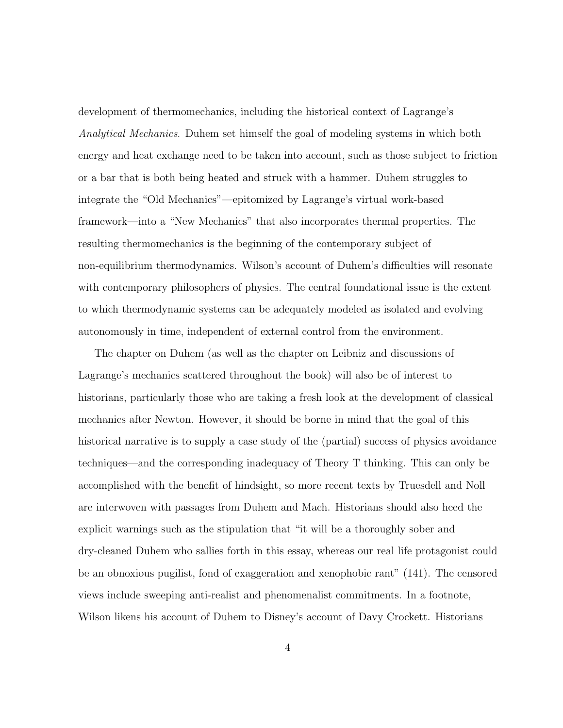development of thermomechanics, including the historical context of Lagrange's Analytical Mechanics. Duhem set himself the goal of modeling systems in which both energy and heat exchange need to be taken into account, such as those subject to friction or a bar that is both being heated and struck with a hammer. Duhem struggles to integrate the "Old Mechanics"—epitomized by Lagrange's virtual work-based framework—into a "New Mechanics" that also incorporates thermal properties. The resulting thermomechanics is the beginning of the contemporary subject of non-equilibrium thermodynamics. Wilson's account of Duhem's difficulties will resonate with contemporary philosophers of physics. The central foundational issue is the extent to which thermodynamic systems can be adequately modeled as isolated and evolving autonomously in time, independent of external control from the environment.

The chapter on Duhem (as well as the chapter on Leibniz and discussions of Lagrange's mechanics scattered throughout the book) will also be of interest to historians, particularly those who are taking a fresh look at the development of classical mechanics after Newton. However, it should be borne in mind that the goal of this historical narrative is to supply a case study of the (partial) success of physics avoidance techniques—and the corresponding inadequacy of Theory T thinking. This can only be accomplished with the benefit of hindsight, so more recent texts by Truesdell and Noll are interwoven with passages from Duhem and Mach. Historians should also heed the explicit warnings such as the stipulation that "it will be a thoroughly sober and dry-cleaned Duhem who sallies forth in this essay, whereas our real life protagonist could be an obnoxious pugilist, fond of exaggeration and xenophobic rant" (141). The censored views include sweeping anti-realist and phenomenalist commitments. In a footnote, Wilson likens his account of Duhem to Disney's account of Davy Crockett. Historians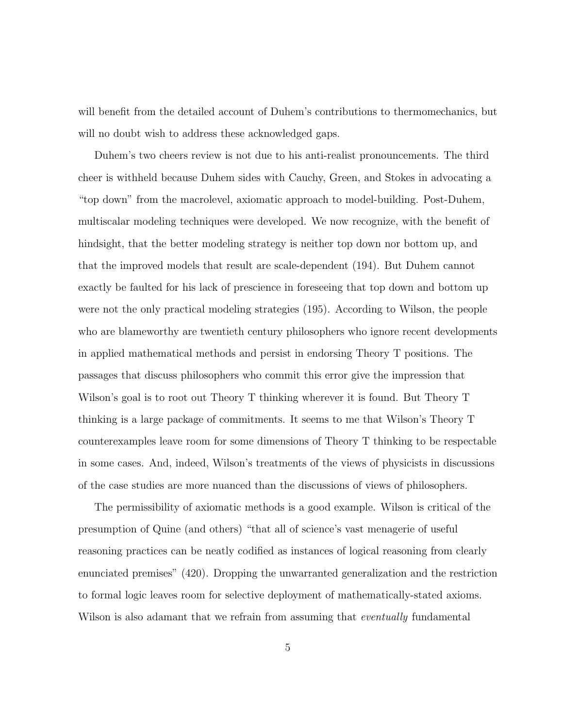will benefit from the detailed account of Duhem's contributions to thermomechanics, but will no doubt wish to address these acknowledged gaps.

Duhem's two cheers review is not due to his anti-realist pronouncements. The third cheer is withheld because Duhem sides with Cauchy, Green, and Stokes in advocating a "top down" from the macrolevel, axiomatic approach to model-building. Post-Duhem, multiscalar modeling techniques were developed. We now recognize, with the benefit of hindsight, that the better modeling strategy is neither top down nor bottom up, and that the improved models that result are scale-dependent (194). But Duhem cannot exactly be faulted for his lack of prescience in foreseeing that top down and bottom up were not the only practical modeling strategies (195). According to Wilson, the people who are blameworthy are twentieth century philosophers who ignore recent developments in applied mathematical methods and persist in endorsing Theory T positions. The passages that discuss philosophers who commit this error give the impression that Wilson's goal is to root out Theory T thinking wherever it is found. But Theory T thinking is a large package of commitments. It seems to me that Wilson's Theory T counterexamples leave room for some dimensions of Theory T thinking to be respectable in some cases. And, indeed, Wilson's treatments of the views of physicists in discussions of the case studies are more nuanced than the discussions of views of philosophers.

The permissibility of axiomatic methods is a good example. Wilson is critical of the presumption of Quine (and others) "that all of science's vast menagerie of useful reasoning practices can be neatly codified as instances of logical reasoning from clearly enunciated premises" (420). Dropping the unwarranted generalization and the restriction to formal logic leaves room for selective deployment of mathematically-stated axioms. Wilson is also adamant that we refrain from assuming that *eventually* fundamental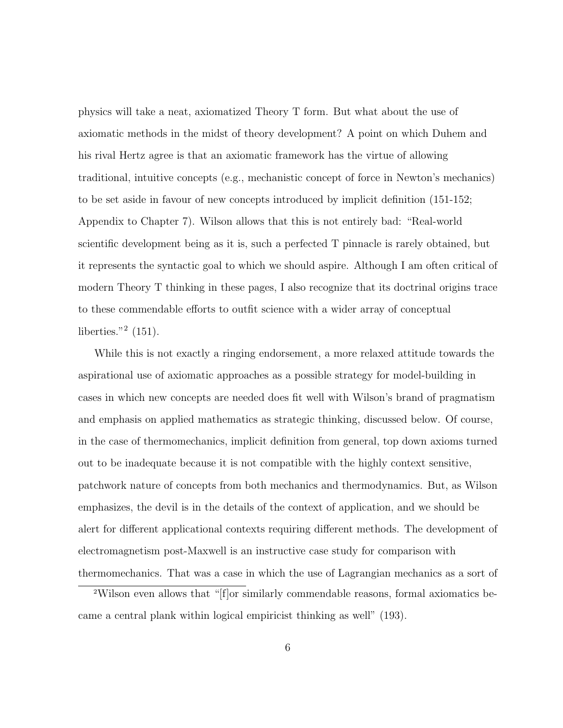physics will take a neat, axiomatized Theory T form. But what about the use of axiomatic methods in the midst of theory development? A point on which Duhem and his rival Hertz agree is that an axiomatic framework has the virtue of allowing traditional, intuitive concepts (e.g., mechanistic concept of force in Newton's mechanics) to be set aside in favour of new concepts introduced by implicit definition (151-152; Appendix to Chapter 7). Wilson allows that this is not entirely bad: "Real-world scientific development being as it is, such a perfected T pinnacle is rarely obtained, but it represents the syntactic goal to which we should aspire. Although I am often critical of modern Theory T thinking in these pages, I also recognize that its doctrinal origins trace to these commendable efforts to outfit science with a wider array of conceptual liberties."<sup>2</sup> (151).

While this is not exactly a ringing endorsement, a more relaxed attitude towards the aspirational use of axiomatic approaches as a possible strategy for model-building in cases in which new concepts are needed does fit well with Wilson's brand of pragmatism and emphasis on applied mathematics as strategic thinking, discussed below. Of course, in the case of thermomechanics, implicit definition from general, top down axioms turned out to be inadequate because it is not compatible with the highly context sensitive, patchwork nature of concepts from both mechanics and thermodynamics. But, as Wilson emphasizes, the devil is in the details of the context of application, and we should be alert for different applicational contexts requiring different methods. The development of electromagnetism post-Maxwell is an instructive case study for comparison with thermomechanics. That was a case in which the use of Lagrangian mechanics as a sort of

<sup>2</sup>Wilson even allows that "[f]or similarly commendable reasons, formal axiomatics became a central plank within logical empiricist thinking as well" (193).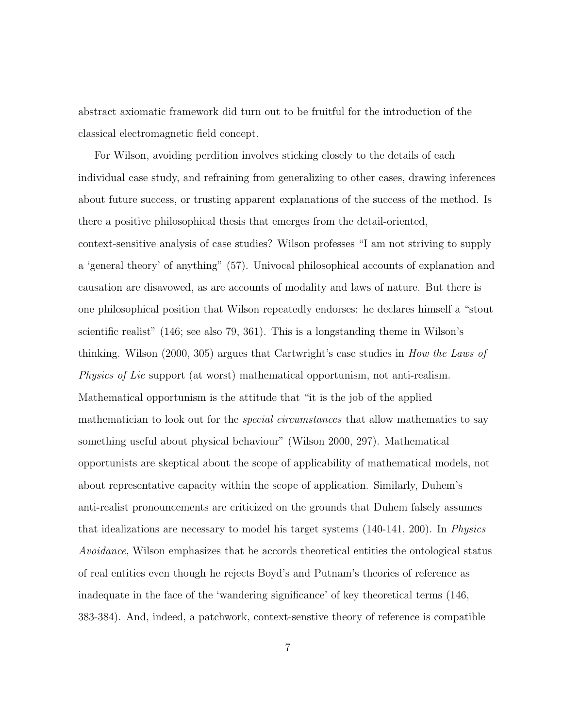abstract axiomatic framework did turn out to be fruitful for the introduction of the classical electromagnetic field concept.

For Wilson, avoiding perdition involves sticking closely to the details of each individual case study, and refraining from generalizing to other cases, drawing inferences about future success, or trusting apparent explanations of the success of the method. Is there a positive philosophical thesis that emerges from the detail-oriented, context-sensitive analysis of case studies? Wilson professes "I am not striving to supply a 'general theory' of anything" (57). Univocal philosophical accounts of explanation and causation are disavowed, as are accounts of modality and laws of nature. But there is one philosophical position that Wilson repeatedly endorses: he declares himself a "stout scientific realist" (146; see also 79, 361). This is a longstanding theme in Wilson's thinking. Wilson (2000, 305) argues that Cartwright's case studies in How the Laws of Physics of Lie support (at worst) mathematical opportunism, not anti-realism. Mathematical opportunism is the attitude that "it is the job of the applied mathematician to look out for the *special circumstances* that allow mathematics to say something useful about physical behaviour" (Wilson 2000, 297). Mathematical opportunists are skeptical about the scope of applicability of mathematical models, not about representative capacity within the scope of application. Similarly, Duhem's anti-realist pronouncements are criticized on the grounds that Duhem falsely assumes that idealizations are necessary to model his target systems (140-141, 200). In Physics Avoidance, Wilson emphasizes that he accords theoretical entities the ontological status of real entities even though he rejects Boyd's and Putnam's theories of reference as inadequate in the face of the 'wandering significance' of key theoretical terms (146, 383-384). And, indeed, a patchwork, context-senstive theory of reference is compatible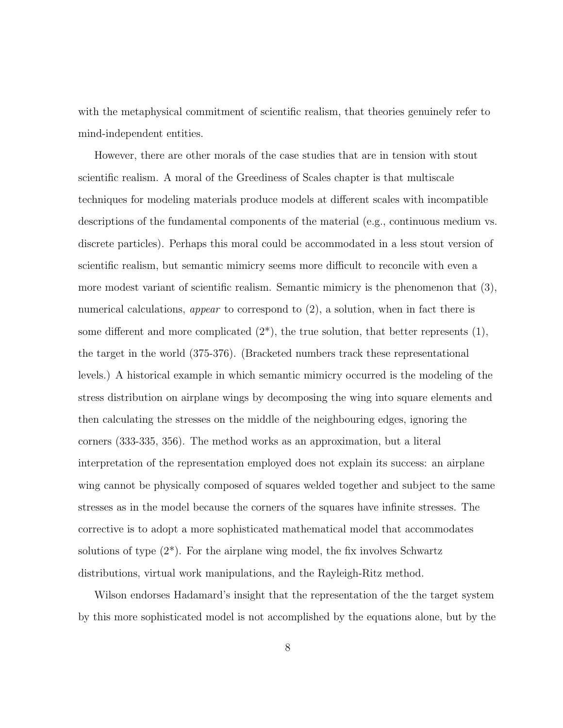with the metaphysical commitment of scientific realism, that theories genuinely refer to mind-independent entities.

However, there are other morals of the case studies that are in tension with stout scientific realism. A moral of the Greediness of Scales chapter is that multiscale techniques for modeling materials produce models at different scales with incompatible descriptions of the fundamental components of the material (e.g., continuous medium vs. discrete particles). Perhaps this moral could be accommodated in a less stout version of scientific realism, but semantic mimicry seems more difficult to reconcile with even a more modest variant of scientific realism. Semantic mimicry is the phenomenon that (3), numerical calculations, *appear* to correspond to  $(2)$ , a solution, when in fact there is some different and more complicated  $(2^*)$ , the true solution, that better represents  $(1)$ , the target in the world (375-376). (Bracketed numbers track these representational levels.) A historical example in which semantic mimicry occurred is the modeling of the stress distribution on airplane wings by decomposing the wing into square elements and then calculating the stresses on the middle of the neighbouring edges, ignoring the corners (333-335, 356). The method works as an approximation, but a literal interpretation of the representation employed does not explain its success: an airplane wing cannot be physically composed of squares welded together and subject to the same stresses as in the model because the corners of the squares have infinite stresses. The corrective is to adopt a more sophisticated mathematical model that accommodates solutions of type  $(2^*)$ . For the airplane wing model, the fix involves Schwartz distributions, virtual work manipulations, and the Rayleigh-Ritz method.

Wilson endorses Hadamard's insight that the representation of the the target system by this more sophisticated model is not accomplished by the equations alone, but by the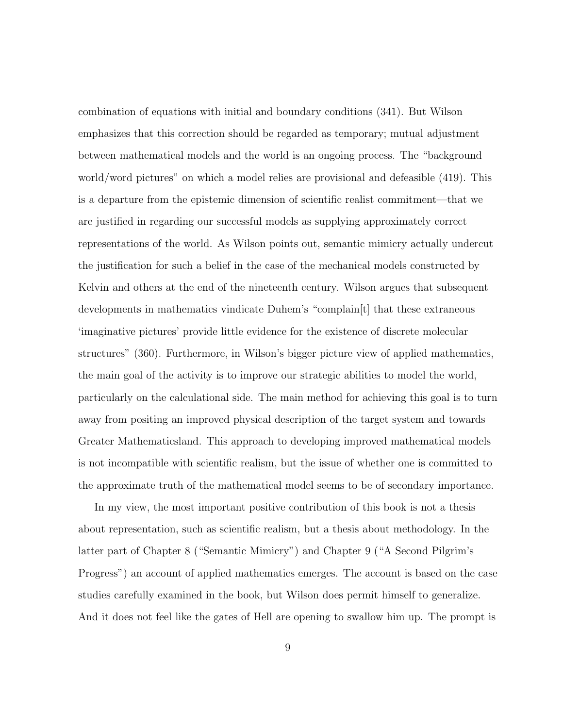combination of equations with initial and boundary conditions (341). But Wilson emphasizes that this correction should be regarded as temporary; mutual adjustment between mathematical models and the world is an ongoing process. The "background world/word pictures" on which a model relies are provisional and defeasible (419). This is a departure from the epistemic dimension of scientific realist commitment—that we are justified in regarding our successful models as supplying approximately correct representations of the world. As Wilson points out, semantic mimicry actually undercut the justification for such a belief in the case of the mechanical models constructed by Kelvin and others at the end of the nineteenth century. Wilson argues that subsequent developments in mathematics vindicate Duhem's "complain<sup>[t]</sup> that these extraneous 'imaginative pictures' provide little evidence for the existence of discrete molecular structures" (360). Furthermore, in Wilson's bigger picture view of applied mathematics, the main goal of the activity is to improve our strategic abilities to model the world, particularly on the calculational side. The main method for achieving this goal is to turn away from positing an improved physical description of the target system and towards Greater Mathematicsland. This approach to developing improved mathematical models is not incompatible with scientific realism, but the issue of whether one is committed to the approximate truth of the mathematical model seems to be of secondary importance.

In my view, the most important positive contribution of this book is not a thesis about representation, such as scientific realism, but a thesis about methodology. In the latter part of Chapter 8 ("Semantic Mimicry") and Chapter 9 ("A Second Pilgrim's Progress") an account of applied mathematics emerges. The account is based on the case studies carefully examined in the book, but Wilson does permit himself to generalize. And it does not feel like the gates of Hell are opening to swallow him up. The prompt is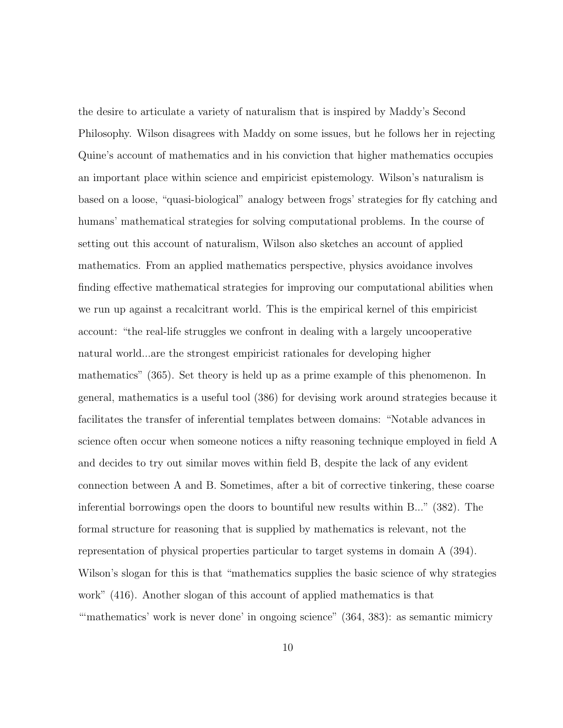the desire to articulate a variety of naturalism that is inspired by Maddy's Second Philosophy. Wilson disagrees with Maddy on some issues, but he follows her in rejecting Quine's account of mathematics and in his conviction that higher mathematics occupies an important place within science and empiricist epistemology. Wilson's naturalism is based on a loose, "quasi-biological" analogy between frogs' strategies for fly catching and humans' mathematical strategies for solving computational problems. In the course of setting out this account of naturalism, Wilson also sketches an account of applied mathematics. From an applied mathematics perspective, physics avoidance involves finding effective mathematical strategies for improving our computational abilities when we run up against a recalcitrant world. This is the empirical kernel of this empiricist account: "the real-life struggles we confront in dealing with a largely uncooperative natural world...are the strongest empiricist rationales for developing higher mathematics" (365). Set theory is held up as a prime example of this phenomenon. In general, mathematics is a useful tool (386) for devising work around strategies because it facilitates the transfer of inferential templates between domains: "Notable advances in science often occur when someone notices a nifty reasoning technique employed in field A and decides to try out similar moves within field B, despite the lack of any evident connection between A and B. Sometimes, after a bit of corrective tinkering, these coarse inferential borrowings open the doors to bountiful new results within B..." (382). The formal structure for reasoning that is supplied by mathematics is relevant, not the representation of physical properties particular to target systems in domain A (394). Wilson's slogan for this is that "mathematics supplies the basic science of why strategies work" (416). Another slogan of this account of applied mathematics is that "'mathematics' work is never done' in ongoing science" (364, 383): as semantic mimicry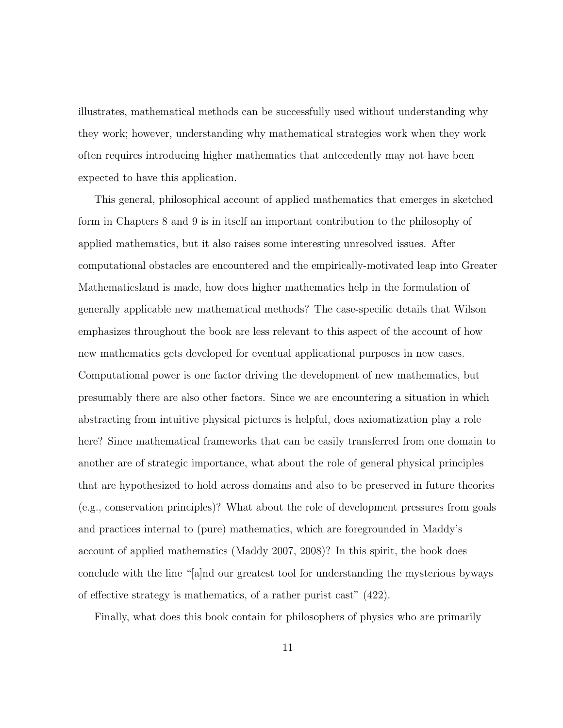illustrates, mathematical methods can be successfully used without understanding why they work; however, understanding why mathematical strategies work when they work often requires introducing higher mathematics that antecedently may not have been expected to have this application.

This general, philosophical account of applied mathematics that emerges in sketched form in Chapters 8 and 9 is in itself an important contribution to the philosophy of applied mathematics, but it also raises some interesting unresolved issues. After computational obstacles are encountered and the empirically-motivated leap into Greater Mathematicsland is made, how does higher mathematics help in the formulation of generally applicable new mathematical methods? The case-specific details that Wilson emphasizes throughout the book are less relevant to this aspect of the account of how new mathematics gets developed for eventual applicational purposes in new cases. Computational power is one factor driving the development of new mathematics, but presumably there are also other factors. Since we are encountering a situation in which abstracting from intuitive physical pictures is helpful, does axiomatization play a role here? Since mathematical frameworks that can be easily transferred from one domain to another are of strategic importance, what about the role of general physical principles that are hypothesized to hold across domains and also to be preserved in future theories (e.g., conservation principles)? What about the role of development pressures from goals and practices internal to (pure) mathematics, which are foregrounded in Maddy's account of applied mathematics (Maddy 2007, 2008)? In this spirit, the book does conclude with the line "[a]nd our greatest tool for understanding the mysterious byways of effective strategy is mathematics, of a rather purist cast" (422).

Finally, what does this book contain for philosophers of physics who are primarily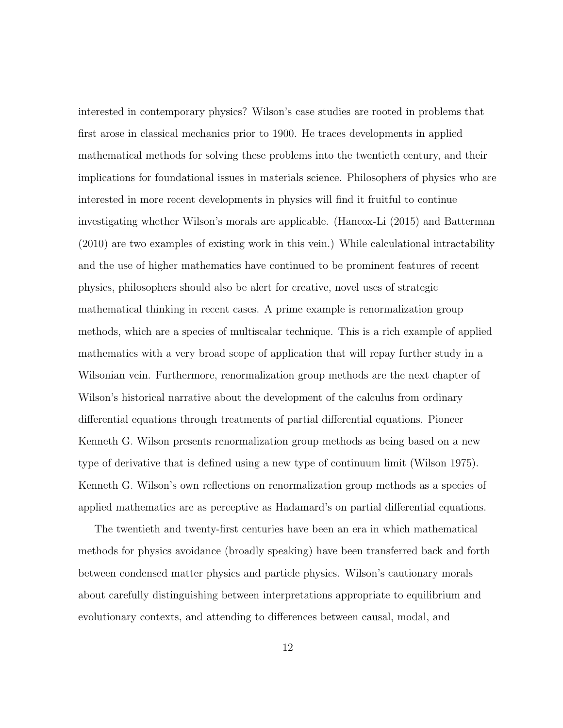interested in contemporary physics? Wilson's case studies are rooted in problems that first arose in classical mechanics prior to 1900. He traces developments in applied mathematical methods for solving these problems into the twentieth century, and their implications for foundational issues in materials science. Philosophers of physics who are interested in more recent developments in physics will find it fruitful to continue investigating whether Wilson's morals are applicable. (Hancox-Li (2015) and Batterman (2010) are two examples of existing work in this vein.) While calculational intractability and the use of higher mathematics have continued to be prominent features of recent physics, philosophers should also be alert for creative, novel uses of strategic mathematical thinking in recent cases. A prime example is renormalization group methods, which are a species of multiscalar technique. This is a rich example of applied mathematics with a very broad scope of application that will repay further study in a Wilsonian vein. Furthermore, renormalization group methods are the next chapter of Wilson's historical narrative about the development of the calculus from ordinary differential equations through treatments of partial differential equations. Pioneer Kenneth G. Wilson presents renormalization group methods as being based on a new type of derivative that is defined using a new type of continuum limit (Wilson 1975). Kenneth G. Wilson's own reflections on renormalization group methods as a species of applied mathematics are as perceptive as Hadamard's on partial differential equations.

The twentieth and twenty-first centuries have been an era in which mathematical methods for physics avoidance (broadly speaking) have been transferred back and forth between condensed matter physics and particle physics. Wilson's cautionary morals about carefully distinguishing between interpretations appropriate to equilibrium and evolutionary contexts, and attending to differences between causal, modal, and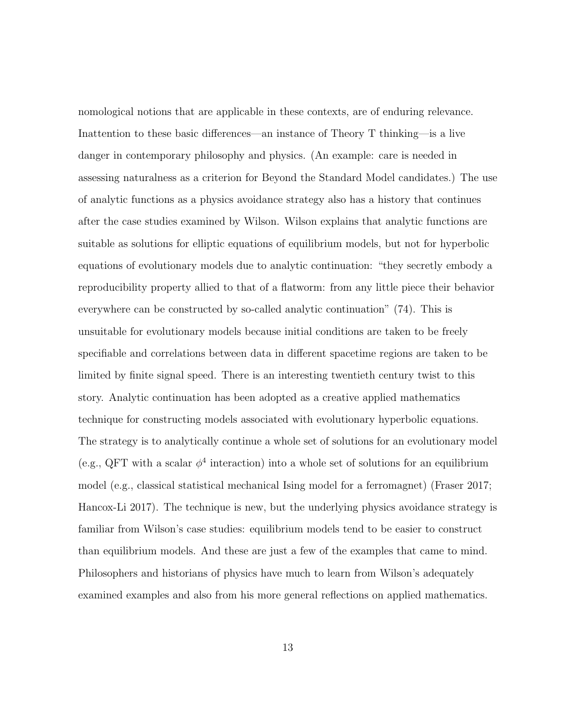nomological notions that are applicable in these contexts, are of enduring relevance. Inattention to these basic differences—an instance of Theory T thinking—is a live danger in contemporary philosophy and physics. (An example: care is needed in assessing naturalness as a criterion for Beyond the Standard Model candidates.) The use of analytic functions as a physics avoidance strategy also has a history that continues after the case studies examined by Wilson. Wilson explains that analytic functions are suitable as solutions for elliptic equations of equilibrium models, but not for hyperbolic equations of evolutionary models due to analytic continuation: "they secretly embody a reproducibility property allied to that of a flatworm: from any little piece their behavior everywhere can be constructed by so-called analytic continuation" (74). This is unsuitable for evolutionary models because initial conditions are taken to be freely specifiable and correlations between data in different spacetime regions are taken to be limited by finite signal speed. There is an interesting twentieth century twist to this story. Analytic continuation has been adopted as a creative applied mathematics technique for constructing models associated with evolutionary hyperbolic equations. The strategy is to analytically continue a whole set of solutions for an evolutionary model (e.g., QFT with a scalar  $\phi^4$  interaction) into a whole set of solutions for an equilibrium model (e.g., classical statistical mechanical Ising model for a ferromagnet) (Fraser 2017; Hancox-Li 2017). The technique is new, but the underlying physics avoidance strategy is familiar from Wilson's case studies: equilibrium models tend to be easier to construct than equilibrium models. And these are just a few of the examples that came to mind. Philosophers and historians of physics have much to learn from Wilson's adequately examined examples and also from his more general reflections on applied mathematics.